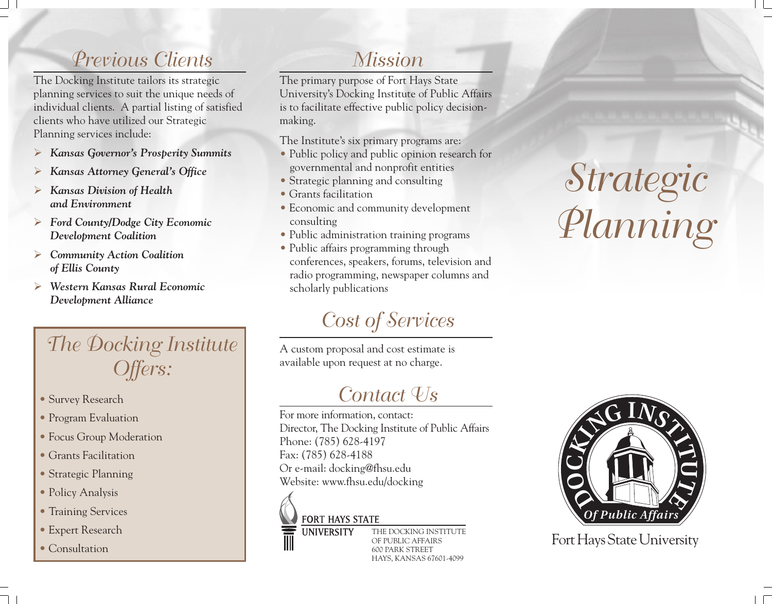## *Previous Clients*

The Docking Institute tailors its strategic planning services to suit the unique needs of individual clients. A partial listing of satisfied clients who have utilized our Strategic Planning services include:

- *Kansas Governor's Prosperity Summits*
- *Kansas Attorney General's Office*
- *Kansas Division of Health and Environment*
- *Ford County/Dodge City Economic Development Coalition*
- *Community Action Coalition of Ellis County*
- *Western Kansas Rural Economic Development Alliance*

*The Docking Institute Offers:*

- Survey Research
- Program Evaluation
- Focus Group Moderation
- Grants Facilitation
- Strategic Planning
- Policy Analysis
- Training Services
- Expert Research
- Consultation

## *Mission*

The primary purpose of Fort Hays State University's Docking Institute of Public Affairs is to facilitate effective public policy decisionmaking.

- The Institute's six primary programs are:
- Public policy and public opinion research for governmental and nonprofit entities
- Strategic planning and consulting
- Grants facilitation
- Economic and community development consulting
- Public administration training programs
- Public affairs programming through conferences, speakers, forums, television and radio programming, newspaper columns and scholarly publications

## *Cost of Services*

A custom proposal and cost estimate is available upon request at no charge.

## *Contact Us*

For more information, contact: Director, The Docking Institute of Public Affairs Phone: (785) 628-4197 Fax: (785) 628-4188 Or e-mail: docking@fhsu.edu Website: www.fhsu.edu/docking

#### **FORT HAYS STATE**



THE DOCKING INSTITUTE OF PUBLIC AFFAIRS 600 PARK STREET HAYS, KANSAS 67601-4099

# *Strategic Planning*



Fort Hays State University